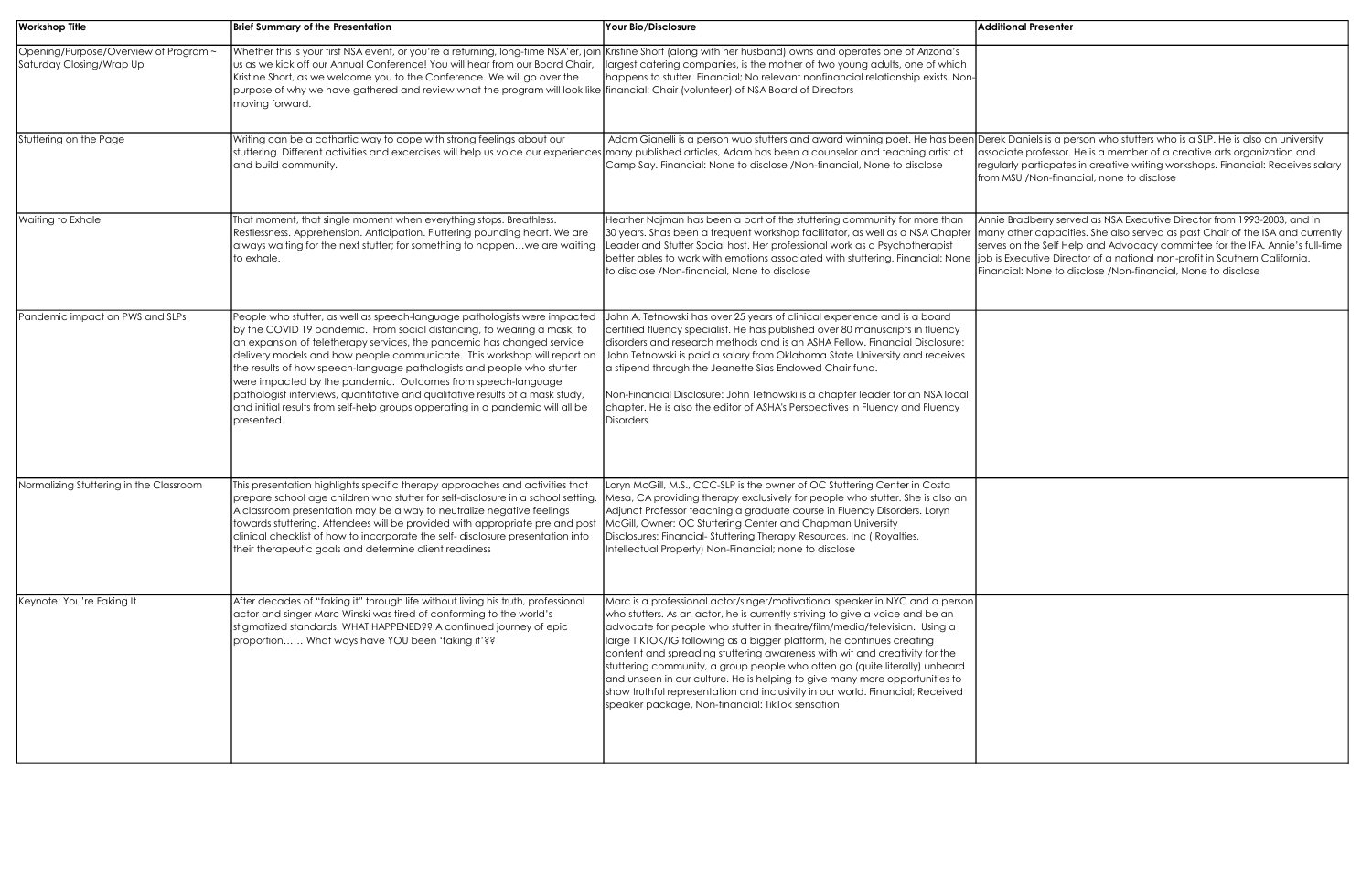| <b>Workshop Title</b>                                             | <b>Brief Summary of the Presentation</b>                                                                                                                                                                                                                                                                                                                                                                                                                                                                                                                                                                                              | Your Bio/Disclosure                                                                                                                                                                                                                                                                                                                                                                                                                                                                                                                                                                                                                                                                                   | <b>Additional Presenter</b>                                                                    |
|-------------------------------------------------------------------|---------------------------------------------------------------------------------------------------------------------------------------------------------------------------------------------------------------------------------------------------------------------------------------------------------------------------------------------------------------------------------------------------------------------------------------------------------------------------------------------------------------------------------------------------------------------------------------------------------------------------------------|-------------------------------------------------------------------------------------------------------------------------------------------------------------------------------------------------------------------------------------------------------------------------------------------------------------------------------------------------------------------------------------------------------------------------------------------------------------------------------------------------------------------------------------------------------------------------------------------------------------------------------------------------------------------------------------------------------|------------------------------------------------------------------------------------------------|
| Opening/Purpose/Overview of Program ~<br>Saturday Closing/Wrap Up | Whether this is your first NSA event, or you're a returning, long-time NSA'er, join Kristine Short (along with her husband) owns and operates one of Arizona's<br>us as we kick off our Annual Conference! You will hear from our Board Chair,<br>Kristine Short, as we welcome you to the Conference. We will go over the<br>purpose of why we have gathered and review what the program will look like financial: Chair (volunteer) of NSA Board of Directors<br>moving forward.                                                                                                                                                    | largest catering companies, is the mother of two young adults, one of which<br>happens to stutter. Financial; No relevant nonfinancial relationship exists. Non-                                                                                                                                                                                                                                                                                                                                                                                                                                                                                                                                      |                                                                                                |
| Stuttering on the Page                                            | Writing can be a cathartic way to cope with strong feelings about our<br>stuttering. Different activities and excercises will help us voice our experiences<br>and build community.                                                                                                                                                                                                                                                                                                                                                                                                                                                   | Adam Gianelli is a person wuo stutters and award winning poet. He has been Derek Daniels is a pe<br>many published articles, Adam has been a counselor and teaching artist at<br>Camp Say. Financial: None to disclose /Non-financial, None to disclose                                                                                                                                                                                                                                                                                                                                                                                                                                               | associate professor. I<br>regularly particpates<br>from MSU /Non-finan                         |
| <b>Waiting to Exhale</b>                                          | That moment, that single moment when everything stops. Breathless.<br>Restlessness. Apprehension. Anticipation. Fluttering pounding heart. We are<br>always waiting for the next stutter; for something to happenwe are waiting<br>to exhale.                                                                                                                                                                                                                                                                                                                                                                                         | Heather Najman has been a part of the stuttering community for more than<br>30 years. Shas been a frequent workshop facilitator, as well as a NSA Chapter<br>Leader and Stutter Social host. Her professional work as a Psychotherapist<br>better ables to work with emotions associated with stuttering. Financial: None  job is Executive Direc<br>to disclose /Non-financial, None to disclose                                                                                                                                                                                                                                                                                                     | Annie Bradberry serv<br>many other capaciti<br>serves on the Self Hel<br>Financial: None to di |
| Pandemic impact on PWS and SLPs                                   | People who stutter, as well as speech-language pathologists were impacted<br>by the COVID 19 pandemic. From social distancing, to wearing a mask, to<br>an expansion of teletherapy services, the pandemic has changed service<br>delivery models and how people communicate. This workshop will report on<br>the results of how speech-language pathologists and people who stutter<br>were impacted by the pandemic. Outcomes from speech-language<br>pathologist interviews, quantitative and qualitative results of a mask study,<br>and initial results from self-help groups opperating in a pandemic will all be<br>presented. | John A. Tetnowski has over 25 years of clinical experience and is a board<br>certified fluency specialist. He has published over 80 manuscripts in fluency<br>disorders and research methods and is an ASHA Fellow. Financial Disclosure:<br>John Tetnowski is paid a salary from Oklahoma State University and receives<br>a stipend through the Jeanette Sias Endowed Chair fund.<br>Non-Financial Disclosure: John Tetnowski is a chapter leader for an NSA local<br>chapter. He is also the editor of ASHA's Perspectives in Fluency and Fluency<br>Disorders.                                                                                                                                    |                                                                                                |
| Normalizing Stuttering in the Classroom                           | This presentation highlights specific therapy approaches and activities that<br>prepare school age children who stutter for self-disclosure in a school setting.<br>A classroom presentation may be a way to neutralize negative feelings<br>towards stuttering. Attendees will be provided with appropriate pre and post McGill, Owner: OC Stuttering Center and Chapman University<br>clinical checklist of how to incorporate the self-disclosure presentation into<br>their therapeutic goals and determine client readiness                                                                                                      | Loryn McGill, M.S., CCC-SLP is the owner of OC Stuttering Center in Costa<br>Mesa, CA providing therapy exclusively for people who stutter. She is also an<br>Adjunct Professor teaching a graduate course in Fluency Disorders. Loryn<br>Disclosures: Financial-Stuttering Therapy Resources, Inc (Royalties,<br>Intellectual Property) Non-Financial; none to disclose                                                                                                                                                                                                                                                                                                                              |                                                                                                |
| Keynote: You're Faking It                                         | After decades of "faking it" through life without living his truth, professional<br>actor and singer Marc Winski was tired of conforming to the world's<br>stigmatized standards. WHAT HAPPENED?? A continued journey of epic<br>proportion What ways have YOU been 'faking it'??                                                                                                                                                                                                                                                                                                                                                     | Marc is a professional actor/singer/motivational speaker in NYC and a person<br>who stutters. As an actor, he is currently striving to give a voice and be an<br>advocate for people who stutter in theatre/film/media/television. Using a<br>large TIKTOK/IG following as a bigger platform, he continues creating<br>content and spreading stuttering awareness with wit and creativity for the<br>stuttering community, a group people who often go (quite literally) unheard<br>and unseen in our culture. He is helping to give many more opportunities to<br>show truthful representation and inclusivity in our world. Financial; Received<br>speaker package, Non-financial: TikTok sensation |                                                                                                |

. Daniels is a person who stutters who is a SLP. He is also an university iate professor. He is a member of a creative arts organization and arly particpates in creative writing workshops. Financial: Receives salary MSU /Non-financial, none to disclose

Bradberry served as NSA Executive Director from 1993-2003, and in other capacities. She also served as past Chair of the ISA and currently s on the Self Help and Advocacy committee for the IFA. Annie's full-time Executive Director of a national non-profit in Southern California. cial: None to disclose /Non-financial, None to disclose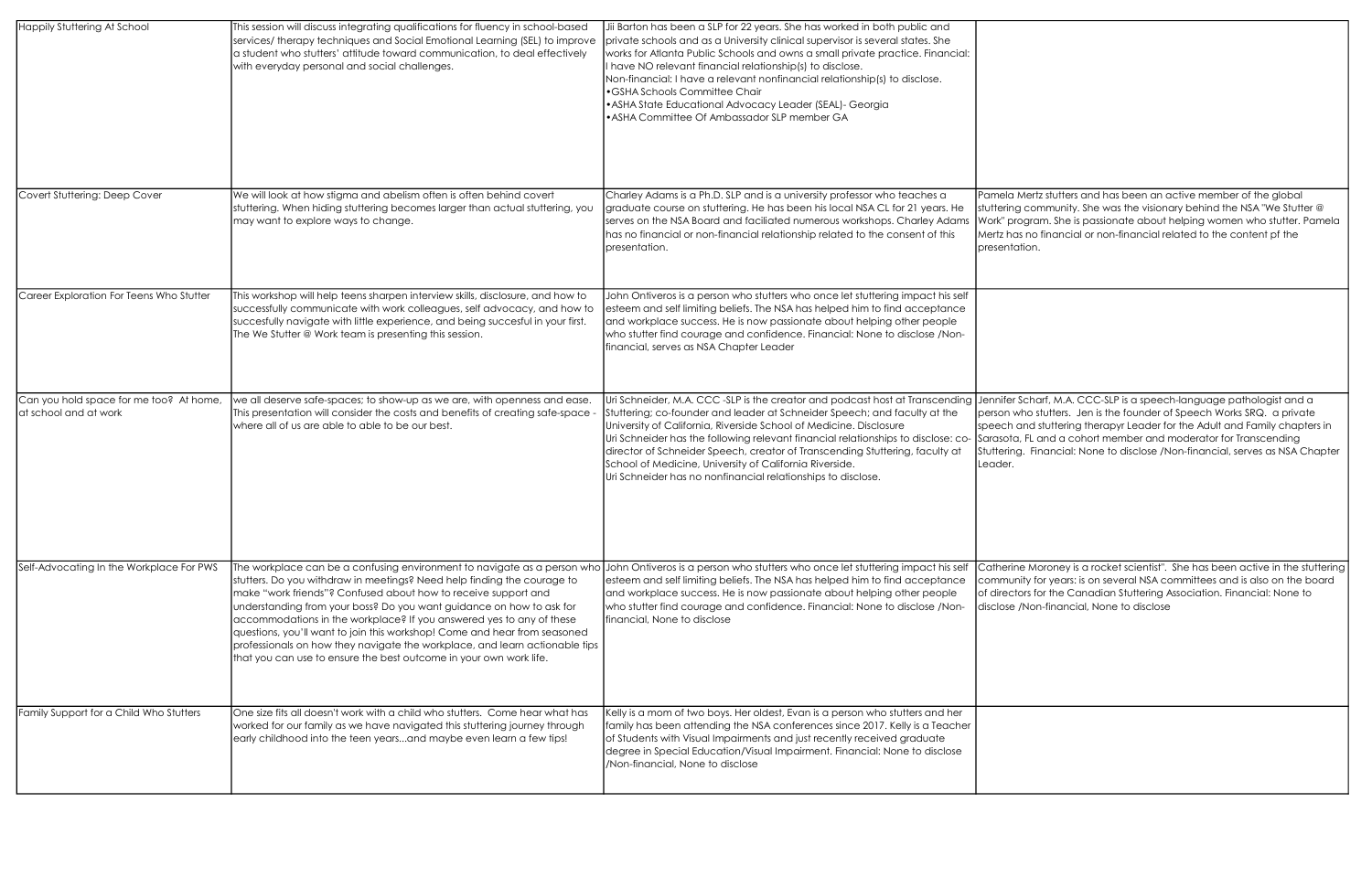| <b>Happily Stuttering At School</b>                              | This session will discuss integrating qualifications for fluency in school-based<br>services/ therapy techniques and Social Emotional Learning (SEL) to improve<br>a student who stutters' attitude toward communication, to deal effectively<br>with everyday personal and social challenges.                                                                                                                                                                                                                                                                                                          | Jii Barton has been a SLP for 22 years. She has worked in both public and<br>private schools and as a University clinical supervisor is several states. She<br>works for Atlanta Public Schools and owns a small private practice. Financial:<br>have NO relevant financial relationship(s) to disclose.<br>Non-financial: I have a relevant nonfinancial relationship(s) to disclose.<br>· GSHA Schools Committee Chair<br>• ASHA State Educational Advocacy Leader (SEAL)- Georgia<br>• ASHA Committee Of Ambassador SLP member GA |                                                         |
|------------------------------------------------------------------|---------------------------------------------------------------------------------------------------------------------------------------------------------------------------------------------------------------------------------------------------------------------------------------------------------------------------------------------------------------------------------------------------------------------------------------------------------------------------------------------------------------------------------------------------------------------------------------------------------|--------------------------------------------------------------------------------------------------------------------------------------------------------------------------------------------------------------------------------------------------------------------------------------------------------------------------------------------------------------------------------------------------------------------------------------------------------------------------------------------------------------------------------------|---------------------------------------------------------|
| Covert Stuttering: Deep Cover                                    | We will look at how stigma and abelism often is often behind covert<br>stuttering. When hiding stuttering becomes larger than actual stuttering, you<br>may want to explore ways to change.                                                                                                                                                                                                                                                                                                                                                                                                             | Charley Adams is a Ph.D. SLP and is a university professor who teaches a<br>graduate course on stuttering. He has been his local NSA CL for 21 years. He<br>serves on the NSA Board and faciliated numerous workshops. Charley Adams<br>has no financial or non-financial relationship related to the consent of this<br>presentation.                                                                                                                                                                                               | Pamel<br>stutteri<br>Work"<br>Mertz  <br>preser         |
| Career Exploration For Teens Who Stutter                         | This workshop will help teens sharpen interview skills, disclosure, and how to<br>successfully communicate with work colleagues, self advocacy, and how to<br>succesfully navigate with little experience, and being succesful in your first.<br>The We Stutter @ Work team is presenting this session.                                                                                                                                                                                                                                                                                                 | John Ontiveros is a person who stutters who once let stuttering impact his self<br>esteem and self limiting beliefs. The NSA has helped him to find acceptance<br>and workplace success. He is now passionate about helping other people<br>who stutter find courage and confidence. Financial: None to disclose /Non-<br>financial, serves as NSA Chapter Leader                                                                                                                                                                    |                                                         |
| Can you hold space for me too? At home,<br>at school and at work | we all deserve safe-spaces; to show-up as we are, with openness and ease.<br>This presentation will consider the costs and benefits of creating safe-space -<br>where all of us are able to able to be our best.                                                                                                                                                                                                                                                                                                                                                                                        | Uri Schneider, M.A. CCC - SLP is the creator and podcast host at Transcending<br>Stuttering; co-founder and leader at Schneider Speech; and faculty at the<br>University of California, Riverside School of Medicine. Disclosure<br>Uri Schneider has the following relevant financial relationships to disclose: co-<br>director of Schneider Speech, creator of Transcending Stuttering, faculty at<br>School of Medicine, University of California Riverside.<br>Uri Schneider has no nonfinancial relationships to disclose.     | Jennif<br>persor<br>speec<br>Sarasc<br>Stutter<br>Leade |
| Self-Advocating In the Workplace For PWS                         | The workplace can be a confusing environment to navigate as a person who<br>stutters. Do you withdraw in meetings? Need help finding the courage to<br>make "work friends"? Confused about how to receive support and<br>understanding from your boss? Do you want guidance on how to ask for<br>accommodations in the workplace? If you answered yes to any of these<br>questions, you'll want to join this workshop! Come and hear from seasoned<br>professionals on how they navigate the workplace, and learn actionable tips<br>that you can use to ensure the best outcome in your own work life. | John Ontiveros is a person who stutters who once let stuttering impact his self<br>esteem and self limiting beliefs. The NSA has helped him to find acceptance<br>and workplace success. He is now passionate about helping other people<br>who stutter find courage and confidence. Financial: None to disclose /Non-<br><b>I</b> financial. None to disclose                                                                                                                                                                       | Cathe<br>comm<br>of dire<br>disclos                     |
| Family Support for a Child Who Stutters                          | One size fits all doesn't work with a child who stutters. Come hear what has<br>worked for our family as we have navigated this stuttering journey through<br>early childhood into the teen yearsand maybe even learn a few tips!                                                                                                                                                                                                                                                                                                                                                                       | Kelly is a mom of two boys. Her oldest, Evan is a person who stutters and her<br>family has been attending the NSA conferences since 2017. Kelly is a Teacher<br>of Students with Visual Impairments and just recently received graduate<br>degree in Special Education/Visual Impairment. Financial: None to disclose<br>/Non-financial, None to disclose                                                                                                                                                                           |                                                         |

la Mertz stutters and has been an active member of the global ring community. She was the visionary behind the NSA "We Stutter  $@$ program. She is passionate about helping women who stutter. Pamela has no financial or non-financial related to the content pf the ntation.

fer Scharf, M.A. CCC-SLP is a speech-language pathologist and a n who stutters. Jen is the founder of Speech Works SRQ. a private ch and stuttering therapyr Leader for the Adult and Family chapters in ota, FL and a cohort member and moderator for Transcending ring. Financial: None to disclose /Non-financial, serves as NSA Chapter er.

erine Moroney is a rocket scientist". She has been active in the stuttering nunity for years: is on several NSA committees and is also on the board ectors for the Canadian Stuttering Association. Financial: None to se /Non-financial, None to disclose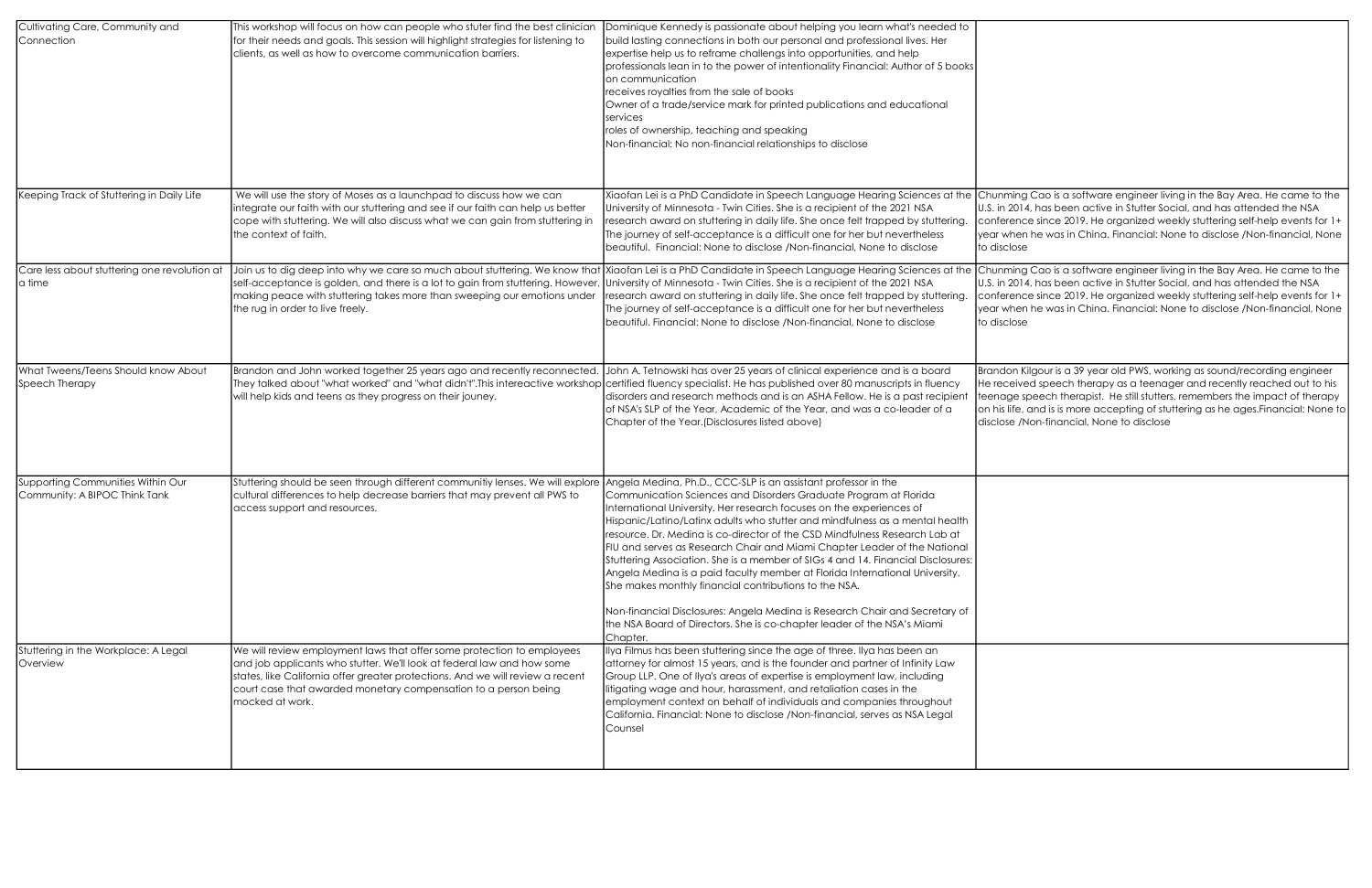| Cultivating Care, Community and<br><b>Connection</b>               | This workshop will focus on how can people who stuter find the best clinician<br>for their needs and goals. This session will highlight strategies for listening to<br>clients, as well as how to overcome communication barriers.                                                                                       | Dominique Kennedy is passionate about helping you learn what's needed to<br>build lasting connections in both our personal and professional lives. Her<br>expertise help us to reframe challengs into opportunities, and help<br>professionals lean in to the power of intentionality Financial: Author of 5 books<br>on communication<br>receives royalties from the sale of books<br>Owner of a trade/service mark for printed publications and educational<br>services<br>roles of ownership, teaching and speaking<br>Non-financial: No non-financial relationships to disclose                                                                                                                                                                                                                                                                     |                                                      |
|--------------------------------------------------------------------|--------------------------------------------------------------------------------------------------------------------------------------------------------------------------------------------------------------------------------------------------------------------------------------------------------------------------|---------------------------------------------------------------------------------------------------------------------------------------------------------------------------------------------------------------------------------------------------------------------------------------------------------------------------------------------------------------------------------------------------------------------------------------------------------------------------------------------------------------------------------------------------------------------------------------------------------------------------------------------------------------------------------------------------------------------------------------------------------------------------------------------------------------------------------------------------------|------------------------------------------------------|
| Keeping Track of Stuttering in Daily Life                          | We will use the story of Moses as a launchpad to discuss how we can<br>integrate our faith with our stuttering and see if our faith can help us better<br>cope with stuttering. We will also discuss what we can gain from stuttering in<br>the context of faith.                                                        | Xiaofan Lei is a PhD Candidate in Speech Language Hearing Sciences at the<br>University of Minnesota - Twin Cities. She is a recipient of the 2021 NSA<br>research award on stuttering in daily life. She once felt trapped by stuttering.<br>The journey of self-acceptance is a difficult one for her but nevertheless<br>beautiful. Financial: None to disclose /Non-financial, None to disclose                                                                                                                                                                                                                                                                                                                                                                                                                                                     | Chunr<br>$U.S.$ in<br>confer<br>year w<br>to disc    |
| Care less about stuttering one revolution at<br>a time             | Join us to dig deep into why we care so much about stuttering. We know that<br>self-acceptance is golden, and there is a lot to gain from stuttering. However<br>making peace with stuttering takes more than sweeping our emotions under<br>the rug in order to live freely.                                            | Xiaofan Lei is a PhD Candidate in Speech Language Hearing Sciences at the Chunr<br>University of Minnesota - Twin Cities. She is a recipient of the 2021 NSA<br>research award on stuttering in daily life. She once felt trapped by stuttering.<br>The journey of self-acceptance is a difficult one for her but nevertheless<br>beautiful. Financial: None to disclose /Non-financial, None to disclose                                                                                                                                                                                                                                                                                                                                                                                                                                               | U.S. in<br>confer<br>year w<br>to disc               |
| What Tweens/Teens Should know About<br>Speech Therapy              | Brandon and John worked together 25 years ago and recently reconnected.<br>They talked about "what worked" and "what didn't". This intereactive workshop<br>will help kids and teens as they progress on their jouney.                                                                                                   | John A. Tetnowski has over 25 years of clinical experience and is a board<br>certified fluency specialist. He has published over 80 manuscripts in fluency<br>disorders and research methods and is an ASHA Fellow. He is a past recipient<br>of NSA's SLP of the Year, Academic of the Year, and was a co-leader of a<br>Chapter of the Year.(Disclosures listed above)                                                                                                                                                                                                                                                                                                                                                                                                                                                                                | <b>Brand</b><br>He rec<br>teena<br>on his<br>disclos |
| Supporting Communities Within Our<br>Community: A BIPOC Think Tank | Stuttering should be seen through different communitiy lenses. We will explore<br>cultural differences to help decrease barriers that may prevent all PWS to<br>access support and resources.                                                                                                                            | Angela Medina, Ph.D., CCC-SLP is an assistant professor in the<br>Communication Sciences and Disorders Graduate Program at Florida<br>International University. Her research focuses on the experiences of<br>Hispanic/Latino/Latinx adults who stutter and mindfulness as a mental health<br>resource. Dr. Medina is co-director of the CSD Mindfulness Research Lab at<br>FIU and serves as Research Chair and Miami Chapter Leader of the National<br>Stuttering Association. She is a member of SIGs 4 and 14. Financial Disclosures:<br>Angela Medina is a paid faculty member at Florida International University.<br>She makes monthly financial contributions to the NSA.<br>Non-financial Disclosures: Angela Medina is Research Chair and Secretary of<br>the NSA Board of Directors. She is co-chapter leader of the NSA's Miami<br>Chapter. |                                                      |
| Stuttering in the Workplace: A Legal<br>Overview                   | We will review employment laws that offer some protection to employees<br>and job applicants who stutter. We'll look at federal law and how some<br>states, like California offer greater protections. And we will review a recent<br>court case that awarded monetary compensation to a person being<br>mocked at work. | Ilya Filmus has been stuttering since the age of three. Ilya has been an<br>attorney for almost 15 years, and is the founder and partner of Infinity Law<br>Group LLP. One of Ilya's areas of expertise is employment law, including<br>litigating wage and hour, harassment, and retaliation cases in the<br>employment context on behalf of individuals and companies throughout<br>California. Financial: None to disclose /Non-financial, serves as NSA Legal<br>Counsel                                                                                                                                                                                                                                                                                                                                                                            |                                                      |

ming Cao is a software engineer living in the Bay Area. He came to the 12014, has been active in Stutter Social, and has attended the NSA erence since 2019. He organized weekly stuttering self-help events for 1+ when he was in China. Financial: None to disclose /Non-financial, None close

ming Cao is a software engineer living in the Bay Area. He came to the  $\overline{1}$  2014, has been active in Stutter Social, and has attended the NSA  $\overline{1}$ erence since 2019. He organized weekly stuttering self-help events for 1+ when he was in China. Financial: None to disclose /Non-financial, None close

lon Kilgour is a 39 year old PWS, working as sound/recording engineer ceived speech therapy as a teenager and recently reached out to his age speech therapist. He still stutters, remembers the impact of therapy ilife, and is is more accepting of stuttering as he ages.Financial: None to se /Non-financial, None to disclose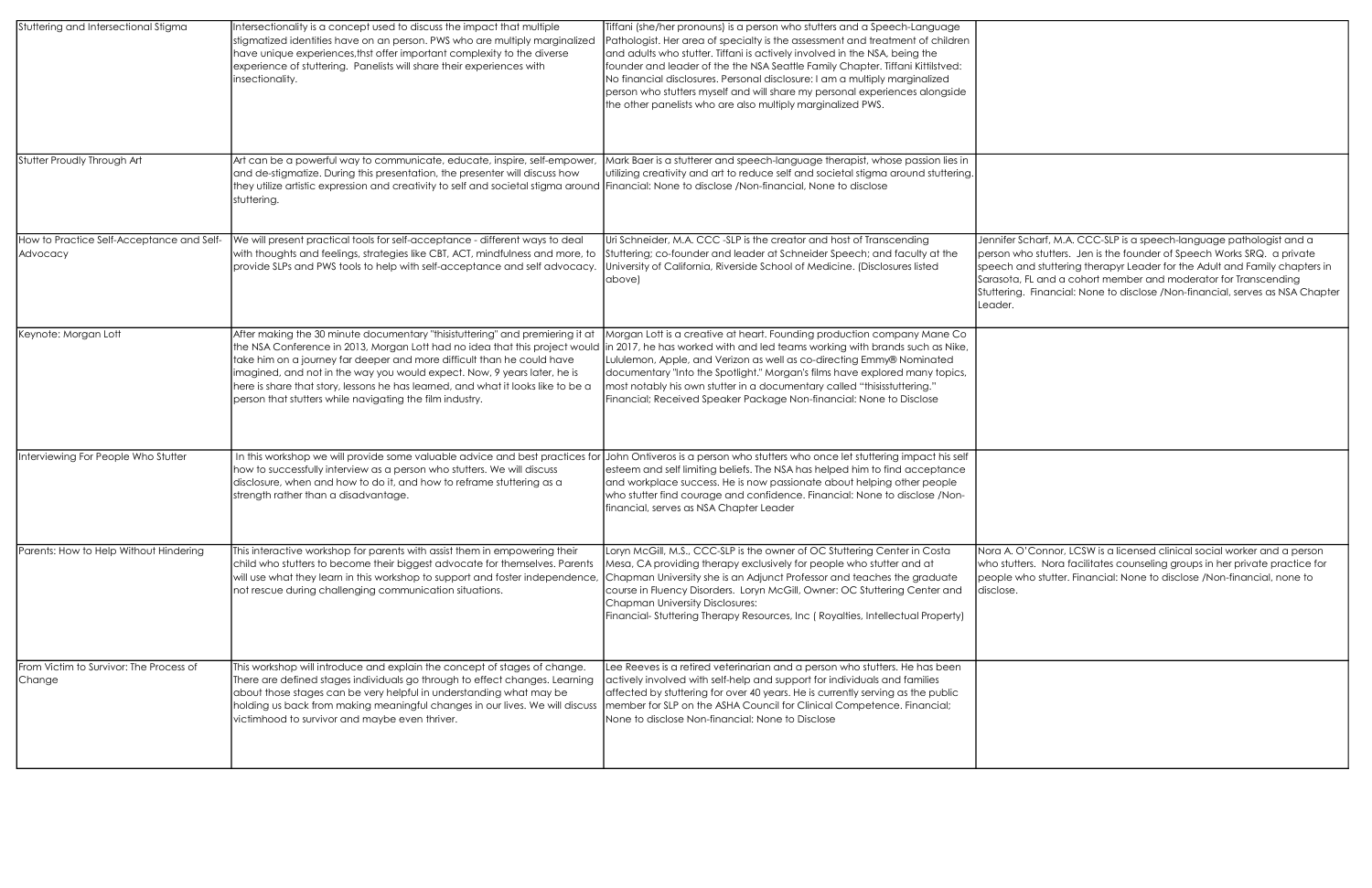| Stuttering and Intersectional Stigma                  | Intersectionality is a concept used to discuss the impact that multiple<br>stigmatized identities have on an person. PWS who are multiply marginalized<br>have unique experiences, thst offer important complexity to the diverse<br>experience of stuttering. Panelists will share their experiences with<br>insectionality.                                                                                                                                      | Tiffani (she/her pronouns) is a person who stutters and a Speech-Language<br>Pathologist. Her area of specialty is the assessment and treatment of children<br>and adults who stutter. Tiffani is actively involved in the NSA, being the<br>founder and leader of the the NSA Seattle Family Chapter. Tiffani Kittilstved:<br>No financial disclosures. Personal disclosure: I am a multiply marginalized<br>person who stutters myself and will share my personal experiences alongside<br>the other panelists who are also multiply marginalized PWS. |                                                                |
|-------------------------------------------------------|--------------------------------------------------------------------------------------------------------------------------------------------------------------------------------------------------------------------------------------------------------------------------------------------------------------------------------------------------------------------------------------------------------------------------------------------------------------------|----------------------------------------------------------------------------------------------------------------------------------------------------------------------------------------------------------------------------------------------------------------------------------------------------------------------------------------------------------------------------------------------------------------------------------------------------------------------------------------------------------------------------------------------------------|----------------------------------------------------------------|
| Stutter Proudly Through Art                           | Art can be a powerful way to communicate, educate, inspire, self-empower,<br>and de-stigmatize. During this presentation, the presenter will discuss how<br>they utilize artistic expression and creativity to self and societal stigma around [Financial: None to disclose /Non-financial, None to disclose<br>stuttering.                                                                                                                                        | Mark Baer is a stutterer and speech-language therapist, whose passion lies in<br>utilizing creativity and art to reduce self and societal stigma around stuttering.                                                                                                                                                                                                                                                                                                                                                                                      |                                                                |
| How to Practice Self-Acceptance and Self-<br>Advocacy | We will present practical tools for self-acceptance - different ways to deal<br>with thoughts and feelings, strategies like CBT, ACT, mindfulness and more, to<br>provide SLPs and PWS tools to help with self-acceptance and self advocacy.                                                                                                                                                                                                                       | Uri Schneider, M.A. CCC -SLP is the creator and host of Transcending<br>Stuttering; co-founder and leader at Schneider Speech; and faculty at the<br>University of California, Riverside School of Medicine. (Disclosures listed<br>above)                                                                                                                                                                                                                                                                                                               | <b>Jennif</b><br>persor<br>speec<br>Sarasc<br>Stutter<br>Leade |
| Keynote: Morgan Lott                                  | After making the 30 minute documentary "thisistuttering" and premiering it at<br>the NSA Conference in 2013, Morgan Lott had no idea that this project would<br>take him on a journey far deeper and more difficult than he could have<br>imagined, and not in the way you would expect. Now, 9 years later, he is<br>here is share that story, lessons he has learned, and what it looks like to be a<br>person that stutters while navigating the film industry. | Morgan Lott is a creative at heart. Founding production company Mane Co<br>in 2017, he has worked with and led teams working with brands such as Nike,<br>Lululemon, Apple, and Verizon as well as co-directing Emmy® Nominated<br>documentary "Into the Spotlight." Morgan's films have explored many topics,<br>most notably his own stutter in a documentary called "thisisstuttering."<br>Financial; Received Speaker Package Non-financial: None to Disclose                                                                                        |                                                                |
| Interviewing For People Who Stutter                   | In this workshop we will provide some valuable advice and best practices for<br>how to successfully interview as a person who stutters. We will discuss<br>disclosure, when and how to do it, and how to reframe stuttering as a<br>strength rather than a disadvantage.                                                                                                                                                                                           | John Ontiveros is a person who stutters who once let stuttering impact his self<br>esteem and self limiting beliefs. The NSA has helped him to find acceptance<br>and workplace success. He is now passionate about helping other people<br>who stutter find courage and confidence. Financial: None to disclose /Non-<br>financial, serves as NSA Chapter Leader                                                                                                                                                                                        |                                                                |
| Parents: How to Help Without Hindering                | This interactive workshop for parents with assist them in empowering their<br>child who stutters to become their biggest advocate for themselves. Parents<br>will use what they learn in this workshop to support and foster independence,<br>not rescue during challenging communication situations.                                                                                                                                                              | Loryn McGill, M.S., CCC-SLP is the owner of OC Stuttering Center in Costa<br>Mesa, CA providing therapy exclusively for people who stutter and at<br>Chapman University she is an Adjunct Professor and teaches the graduate<br>course in Fluency Disorders. Loryn McGill, Owner: OC Stuttering Center and<br><b>Chapman University Disclosures:</b><br>Financial-Stuttering Therapy Resources, Inc (Royalties, Intellectual Property)                                                                                                                   | Nora A<br>who st<br>people<br>disclos                          |
| From Victim to Survivor: The Process of<br>Change     | This workshop will introduce and explain the concept of stages of change.<br>There are defined stages individuals go through to effect changes. Learning<br>about those stages can be very helpful in understanding what may be<br>holding us back from making meaningful changes in our lives. We will discuss<br>victimhood to survivor and maybe even thriver.                                                                                                  | Lee Reeves is a retired veterinarian and a person who stutters. He has been<br>actively involved with self-help and support for individuals and families<br>affected by stuttering for over 40 years. He is currently serving as the public<br>member for SLP on the ASHA Council for Clinical Competence. Financial;<br>None to disclose Non-financial: None to Disclose                                                                                                                                                                                |                                                                |

fer Scharf, M.A. CCC-SLP is a speech-language pathologist and a n who stutters. Jen is the founder of Speech Works SRQ. a private ch and stuttering therapyr Leader for the Adult and Family chapters in ota, FL and a cohort member and moderator for Transcending ring. Financial: None to disclose /Non-financial, serves as NSA Chapter er.

A. O'Connor, LCSW is a licensed clinical social worker and a person who stutters. Nora facilitates counseling groups in her private practice for people who stutter. Financial: None to disclose /Non-financial, none to  $se.$